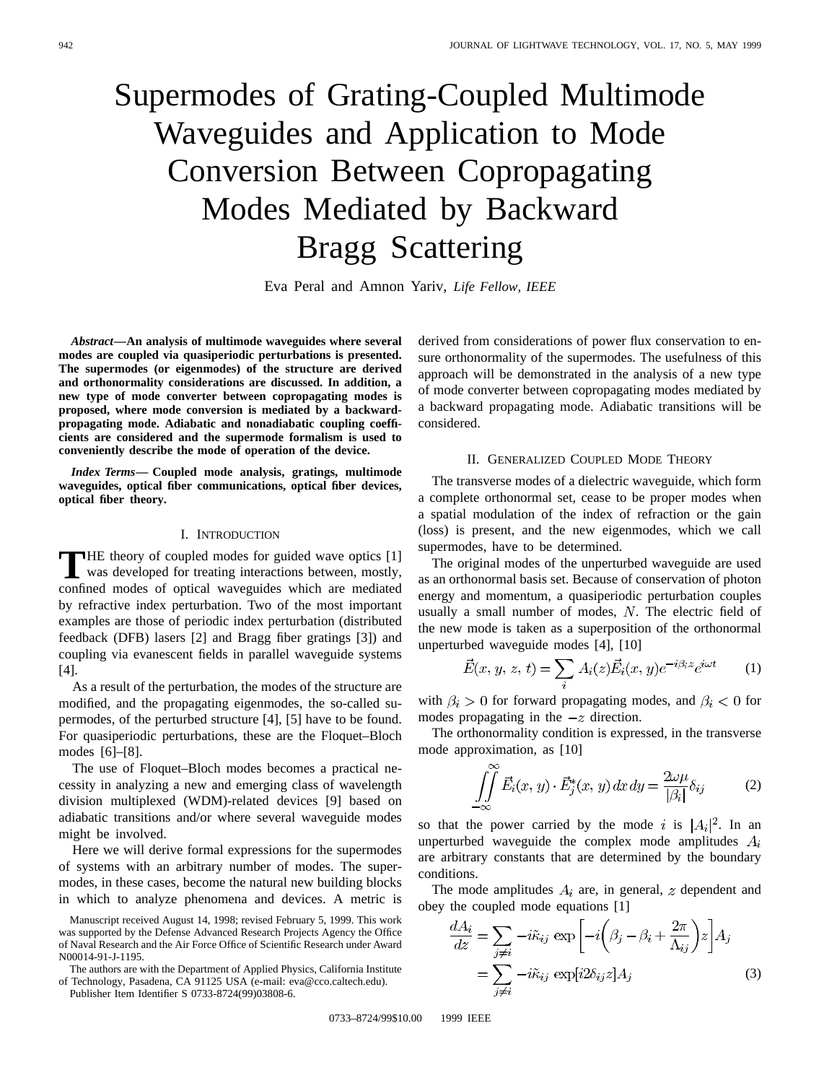# Supermodes of Grating-Coupled Multimode Waveguides and Application to Mode Conversion Between Copropagating Modes Mediated by Backward Bragg Scattering

Eva Peral and Amnon Yariv, *Life Fellow, IEEE*

*Abstract—***An analysis of multimode waveguides where several modes are coupled via quasiperiodic perturbations is presented. The supermodes (or eigenmodes) of the structure are derived and orthonormality considerations are discussed. In addition, a new type of mode converter between copropagating modes is proposed, where mode conversion is mediated by a backwardpropagating mode. Adiabatic and nonadiabatic coupling coefficients are considered and the supermode formalism is used to conveniently describe the mode of operation of the device.**

*Index Terms—* **Coupled mode analysis, gratings, multimode waveguides, optical fiber communications, optical fiber devices, optical fiber theory.**

## I. INTRODUCTION

**T**HE theory of coupled modes for guided wave optics [1]<br>was developed for treating interactions between, mostly, confined modes of optical waveguides which are mediated by refractive index perturbation. Two of the most important examples are those of periodic index perturbation (distributed feedback (DFB) lasers [2] and Bragg fiber gratings [3]) and coupling via evanescent fields in parallel waveguide systems [4].

As a result of the perturbation, the modes of the structure are modified, and the propagating eigenmodes, the so-called supermodes, of the perturbed structure [4], [5] have to be found. For quasiperiodic perturbations, these are the Floquet–Bloch modes [6]–[8].

The use of Floquet–Bloch modes becomes a practical necessity in analyzing a new and emerging class of wavelength division multiplexed (WDM)-related devices [9] based on adiabatic transitions and/or where several waveguide modes might be involved.

Here we will derive formal expressions for the supermodes of systems with an arbitrary number of modes. The supermodes, in these cases, become the natural new building blocks in which to analyze phenomena and devices. A metric is

The authors are with the Department of Applied Physics, California Institute of Technology, Pasadena, CA 91125 USA (e-mail: eva@cco.caltech.edu).

Publisher Item Identifier S 0733-8724(99)03808-6.

derived from considerations of power flux conservation to ensure orthonormality of the supermodes. The usefulness of this approach will be demonstrated in the analysis of a new type of mode converter between copropagating modes mediated by a backward propagating mode. Adiabatic transitions will be considered.

## II. GENERALIZED COUPLED MODE THEORY

The transverse modes of a dielectric waveguide, which form a complete orthonormal set, cease to be proper modes when a spatial modulation of the index of refraction or the gain (loss) is present, and the new eigenmodes, which we call supermodes, have to be determined.

The original modes of the unperturbed waveguide are used as an orthonormal basis set. Because of conservation of photon energy and momentum, a quasiperiodic perturbation couples usually a small number of modes,  $N$ . The electric field of the new mode is taken as a superposition of the orthonormal unperturbed waveguide modes [4], [10]

$$
\vec{E}(x, y, z, t) = \sum_{i} A_i(z) \vec{E}_i(x, y) e^{-i\beta_i z} e^{i\omega t}
$$
 (1)

with  $\beta_i > 0$  for forward propagating modes, and  $\beta_i < 0$  for modes propagating in the  $-z$  direction.

The orthonormality condition is expressed, in the transverse mode approximation, as [10]

$$
\iint\limits_{-\infty}^{\infty} \vec{E}_i(x, y) \cdot \vec{E}_j^*(x, y) dx dy = \frac{2\omega\mu}{|\beta_i|} \delta_{ij} \tag{2}
$$

so that the power carried by the mode i is  $|A_i|^2$ . In an unperturbed waveguide the complex mode amplitudes  $A_i$ are arbitrary constants that are determined by the boundary conditions.

The mode amplitudes  $A_i$  are, in general, z dependent and obey the coupled mode equations [1]

$$
\frac{dA_i}{dz} = \sum_{j \neq i} -i\tilde{\kappa}_{ij} \exp\left[-i\left(\beta_j - \beta_i + \frac{2\pi}{\Lambda_{ij}}\right)z\right]A_j
$$

$$
= \sum_{j \neq i} -i\tilde{\kappa}_{ij} \exp[i2\delta_{ij}z]A_j
$$
(3)

Manuscript received August 14, 1998; revised February 5, 1999. This work was supported by the Defense Advanced Research Projects Agency the Office of Naval Research and the Air Force Office of Scientific Research under Award N00014-91-J-1195.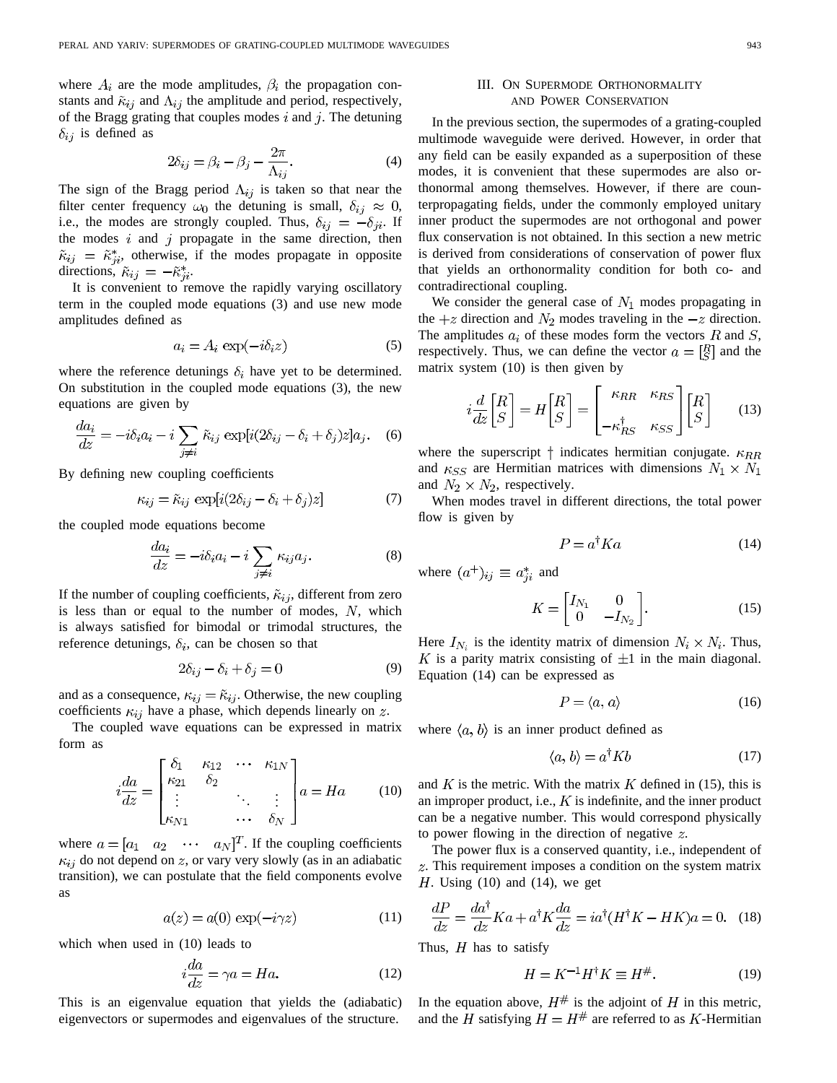where  $A_i$  are the mode amplitudes,  $\beta_i$  the propagation constants and  $\tilde{\kappa}_{ij}$  and  $\Lambda_{ij}$  the amplitude and period, respectively, of the Bragg grating that couples modes  $i$  and  $j$ . The detuning  $\delta_{ij}$  is defined as

$$
2\delta_{ij} = \beta_i - \beta_j - \frac{2\pi}{\Lambda_{ij}}.\tag{4}
$$

The sign of the Bragg period  $\Lambda_{ij}$  is taken so that near the filter center frequency  $\omega_0$  the detuning is small,  $\delta_{ij} \approx 0$ , i.e., the modes are strongly coupled. Thus,  $\delta_{ij} = -\delta_{ji}$ . If the modes  $i$  and  $j$  propagate in the same direction, then  $\tilde{\kappa}_{ij} = \tilde{\kappa}_{ji}^*$ , otherwise, if the modes propagate in opposite directions,  $\tilde{\kappa}_{ij} = -\tilde{\kappa}_{ji}^*$ .

It is convenient to remove the rapidly varying oscillatory term in the coupled mode equations (3) and use new mode amplitudes defined as

$$
a_i = A_i \exp(-i\delta_i z) \tag{5}
$$

where the reference detunings  $\delta_i$  have yet to be determined. On substitution in the coupled mode equations (3), the new equations are given by

$$
\frac{da_i}{dz} = -i\delta_i a_i - i \sum_{j \neq i} \tilde{\kappa}_{ij} \exp[i(2\delta_{ij} - \delta_i + \delta_j)z]a_j.
$$
 (6)

By defining new coupling coefficients

$$
\kappa_{ij} = \tilde{\kappa}_{ij} \exp[i(2\delta_{ij} - \delta_i + \delta_j)z] \tag{7}
$$

the coupled mode equations become

$$
\frac{da_i}{dz} = -i\delta_i a_i - i \sum_{j \neq i} \kappa_{ij} a_j.
$$
 (8)

If the number of coupling coefficients,  $\tilde{\kappa}_{ij}$ , different from zero is less than or equal to the number of modes,  $N$ , which is always satisfied for bimodal or trimodal structures, the reference detunings,  $\delta_i$ , can be chosen so that

$$
2\delta_{ij} - \delta_i + \delta_j = 0\tag{9}
$$

and as a consequence,  $\kappa_{ij} = \tilde{\kappa}_{ij}$ . Otherwise, the new coupling coefficients  $\kappa_{ij}$  have a phase, which depends linearly on z.

The coupled wave equations can be expressed in matrix form as

$$
i\frac{da}{dz} = \begin{bmatrix} \delta_1 & \kappa_{12} & \cdots & \kappa_{1N} \\ \kappa_{21} & \delta_2 & & \\ \vdots & & \ddots & \vdots \\ \kappa_{N1} & & \cdots & \delta_N \end{bmatrix} a = Ha \qquad (10)
$$

where  $a = [a_1 \ a_2 \ \cdots \ a_N]^T$ . If the coupling coefficients  $\kappa_{ij}$  do not depend on z, or vary very slowly (as in an adiabatic transition), we can postulate that the field components evolve as

$$
a(z) = a(0) \exp(-i\gamma z)
$$
 (11)

which when used in (10) leads to

$$
i\frac{da}{dz} = \gamma a = Ha.
$$
 (12)

This is an eigenvalue equation that yields the (adiabatic) eigenvectors or supermodes and eigenvalues of the structure.

## III. ON SUPERMODE ORTHONORMALITY AND POWER CONSERVATION

In the previous section, the supermodes of a grating-coupled multimode waveguide were derived. However, in order that any field can be easily expanded as a superposition of these modes, it is convenient that these supermodes are also orthonormal among themselves. However, if there are counterpropagating fields, under the commonly employed unitary inner product the supermodes are not orthogonal and power flux conservation is not obtained. In this section a new metric is derived from considerations of conservation of power flux that yields an orthonormality condition for both co- and contradirectional coupling.

We consider the general case of  $N_1$  modes propagating in the  $+z$  direction and  $N_2$  modes traveling in the  $-z$  direction. The amplitudes  $a_i$  of these modes form the vectors R and S, respectively. Thus, we can define the vector  $a = \begin{bmatrix} R \\ S \end{bmatrix}$  and the matrix system (10) is then given by

$$
i\frac{d}{dz}\begin{bmatrix}R\\S\end{bmatrix} = H\begin{bmatrix}R\\S\end{bmatrix} = \begin{bmatrix} \kappa_{RR} & \kappa_{RS} \\ -\kappa_{RS}^{\dagger} & \kappa_{SS} \end{bmatrix} \begin{bmatrix} R\\S \end{bmatrix}
$$
(13)

where the superscript  $\dagger$  indicates hermitian conjugate.  $\kappa_{RR}$ and  $\kappa_{SS}$  are Hermitian matrices with dimensions  $N_1 \times N_1$ and  $N_2 \times N_2$ , respectively.

When modes travel in different directions, the total power flow is given by

$$
P = a^{\dagger} K a \tag{14}
$$

where  $(a^+)_{ij} \equiv a_{ji}^*$  and

$$
K = \begin{bmatrix} I_{N_1} & 0 \\ 0 & -I_{N_2} \end{bmatrix} . \tag{15}
$$

Here  $I_{N_i}$  is the identity matrix of dimension  $N_i \times N_i$ . Thus, K is a parity matrix consisting of  $\pm 1$  in the main diagonal. Equation (14) can be expressed as

$$
P = \langle a, a \rangle \tag{16}
$$

where  $\langle a, b \rangle$  is an inner product defined as

$$
\langle a, b \rangle = a^{\dagger} K b \tag{17}
$$

and K is the metric. With the matrix K defined in (15), this is an improper product, i.e.,  $K$  is indefinite, and the inner product can be a negative number. This would correspond physically to power flowing in the direction of negative  $z$ .

The power flux is a conserved quantity, i.e., independent of . This requirement imposes a condition on the system matrix  $H$ . Using (10) and (14), we get

$$
\frac{dP}{dz} = \frac{da^{\dagger}}{dz}Ka + a^{\dagger}K\frac{da}{dz} = ia^{\dagger}(H^{\dagger}K - HK)a = 0.
$$
 (18)

Thus,  $H$  has to satisfy

$$
H = K^{-1}H^{\dagger}K \equiv H^{\#}.
$$
 (19)

In the equation above,  $H^{\#}$  is the adjoint of H in this metric, and the  $\hat{H}$  satisfying  $H = H^{\#}$  are referred to as K-Hermitian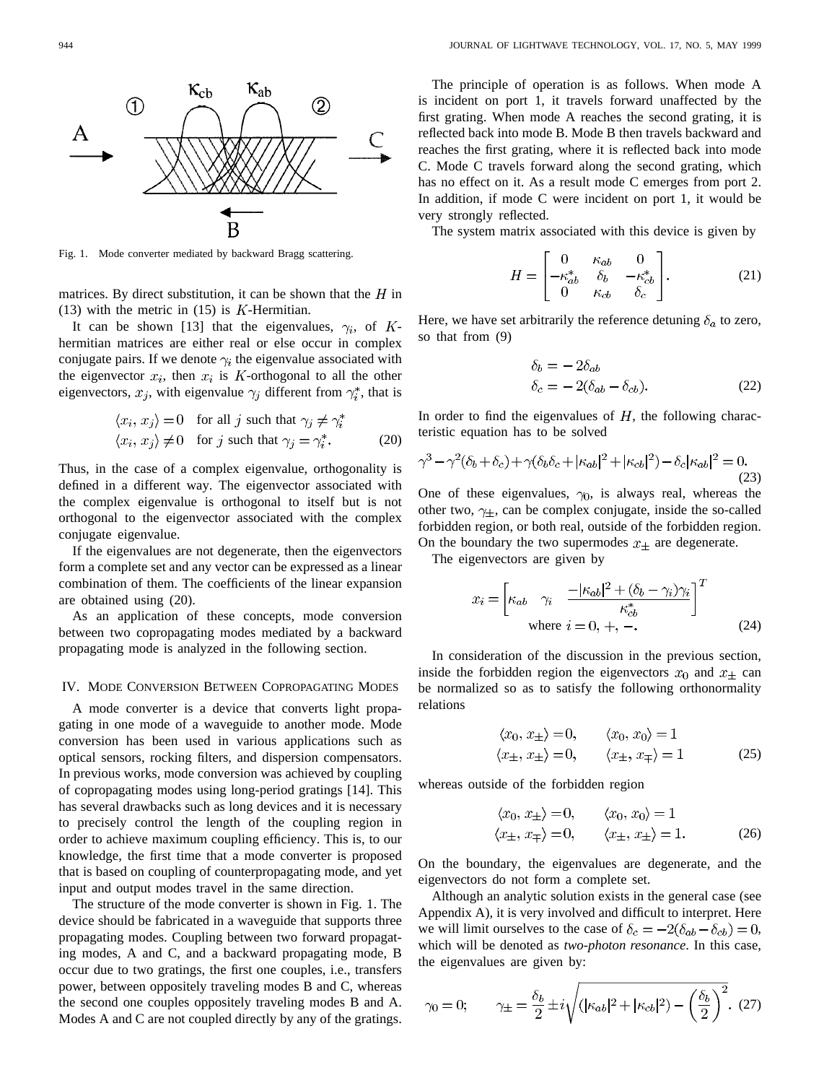Fig. 1. Mode converter mediated by backward Bragg scattering.

matrices. By direct substitution, it can be shown that the  $H$  in (13) with the metric in  $(15)$  is K-Hermitian.

B

It can be shown [13] that the eigenvalues,  $\gamma_i$ , of Khermitian matrices are either real or else occur in complex conjugate pairs. If we denote  $\gamma_i$  the eigenvalue associated with the eigenvector  $x_i$ , then  $x_i$  is K-orthogonal to all the other eigenvectors,  $x_j$ , with eigenvalue  $\gamma_j$  different from  $\gamma_i^*$ , that is

$$
\langle x_i, x_j \rangle = 0 \quad \text{for all } j \text{ such that } \gamma_j \neq \gamma_i^*
$$
  

$$
\langle x_i, x_j \rangle \neq 0 \quad \text{for } j \text{ such that } \gamma_j = \gamma_i^*.
$$
 (20)

Thus, in the case of a complex eigenvalue, orthogonality is defined in a different way. The eigenvector associated with the complex eigenvalue is orthogonal to itself but is not orthogonal to the eigenvector associated with the complex conjugate eigenvalue.

If the eigenvalues are not degenerate, then the eigenvectors form a complete set and any vector can be expressed as a linear combination of them. The coefficients of the linear expansion are obtained using (20).

As an application of these concepts, mode conversion between two copropagating modes mediated by a backward propagating mode is analyzed in the following section.

### IV. MODE CONVERSION BETWEEN COPROPAGATING MODES

A mode converter is a device that converts light propagating in one mode of a waveguide to another mode. Mode conversion has been used in various applications such as optical sensors, rocking filters, and dispersion compensators. In previous works, mode conversion was achieved by coupling of copropagating modes using long-period gratings [14]. This has several drawbacks such as long devices and it is necessary to precisely control the length of the coupling region in order to achieve maximum coupling efficiency. This is, to our knowledge, the first time that a mode converter is proposed that is based on coupling of counterpropagating mode, and yet input and output modes travel in the same direction.

The structure of the mode converter is shown in Fig. 1. The device should be fabricated in a waveguide that supports three propagating modes. Coupling between two forward propagating modes, A and C, and a backward propagating mode, B occur due to two gratings, the first one couples, i.e., transfers power, between oppositely traveling modes B and C, whereas the second one couples oppositely traveling modes B and A. Modes A and C are not coupled directly by any of the gratings.

The principle of operation is as follows. When mode A is incident on port 1, it travels forward unaffected by the first grating. When mode A reaches the second grating, it is reflected back into mode B. Mode B then travels backward and reaches the first grating, where it is reflected back into mode C. Mode C travels forward along the second grating, which has no effect on it. As a result mode C emerges from port 2. In addition, if mode C were incident on port 1, it would be very strongly reflected.

The system matrix associated with this device is given by

$$
H = \begin{bmatrix} 0 & \kappa_{ab} & 0 \\ -\kappa_{ab}^* & \delta_b & -\kappa_{cb}^* \\ 0 & \kappa_{cb} & \delta_c \end{bmatrix} . \tag{21}
$$

Here, we have set arbitrarily the reference detuning  $\delta_a$  to zero, so that from (9)

$$
\delta_b = -2\delta_{ab}
$$
  
\n
$$
\delta_c = -2(\delta_{ab} - \delta_{cb}).
$$
\n(22)

In order to find the eigenvalues of  $H$ , the following characteristic equation has to be solved

$$
\gamma^3 - \gamma^2(\delta_b + \delta_c) + \gamma(\delta_b \delta_c + |\kappa_{ab}|^2 + |\kappa_{cb}|^2) - \delta_c |\kappa_{ab}|^2 = 0.
$$
\n(23)

One of these eigenvalues,  $\gamma_0$ , is always real, whereas the other two,  $\gamma_{\pm}$ , can be complex conjugate, inside the so-called forbidden region, or both real, outside of the forbidden region. On the boundary the two supermodes  $x_{\pm}$  are degenerate.

The eigenvectors are given by

$$
x_i = \begin{bmatrix} \kappa_{ab} & \gamma_i & \frac{-|\kappa_{ab}|^2 + (\delta_b - \gamma_i)\gamma_i}{\kappa_{cb}^*} \end{bmatrix}^T
$$
  
where  $i = 0, +, -$ . (24)

In consideration of the discussion in the previous section, inside the forbidden region the eigenvectors  $x_0$  and  $x_+$  can be normalized so as to satisfy the following orthonormality relations

$$
\langle x_0, x_{\pm} \rangle = 0, \qquad \langle x_0, x_0 \rangle = 1 \langle x_{\pm}, x_{\pm} \rangle = 0, \qquad \langle x_{\pm}, x_{\mp} \rangle = 1
$$
\n(25)

whereas outside of the forbidden region

$$
\langle x_0, x_{\pm} \rangle = 0, \qquad \langle x_0, x_0 \rangle = 1
$$
  

$$
\langle x_{\pm}, x_{\mp} \rangle = 0, \qquad \langle x_{\pm}, x_{\pm} \rangle = 1.
$$
 (26)

On the boundary, the eigenvalues are degenerate, and the eigenvectors do not form a complete set.

Although an analytic solution exists in the general case (see Appendix A), it is very involved and difficult to interpret. Here we will limit ourselves to the case of  $\delta_c = -2(\delta_{ab} - \delta_{cb}) = 0$ , which will be denoted as *two-photon resonance*. In this case, the eigenvalues are given by:

$$
\gamma_0 = 0;
$$
\n $\gamma_{\pm} = \frac{\delta_b}{2} \pm i \sqrt{(|\kappa_{ab}|^2 + |\kappa_{cb}|^2) - (\frac{\delta_b}{2})^2}.$ \n(27)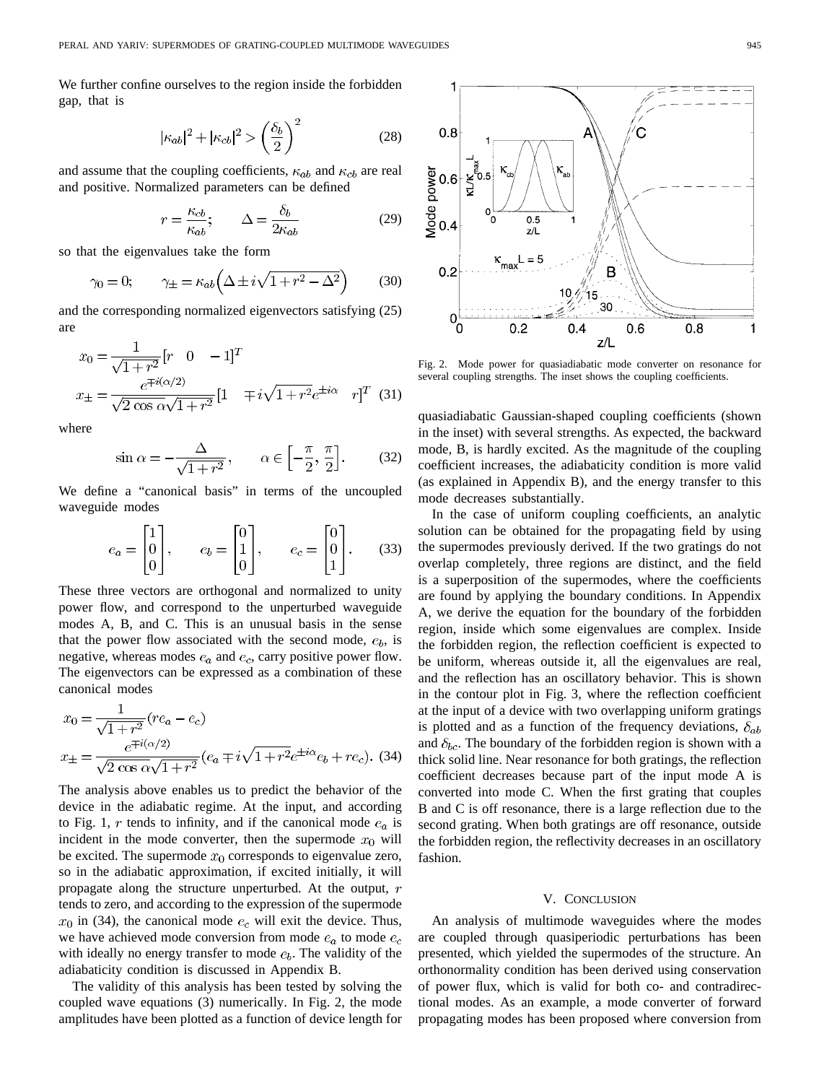We further confine ourselves to the region inside the forbidden gap, that is

$$
|\kappa_{ab}|^2 + |\kappa_{cb}|^2 > \left(\frac{\delta_b}{2}\right)^2 \tag{28}
$$

and assume that the coupling coefficients,  $\kappa_{ab}$  and  $\kappa_{cb}$  are real and positive. Normalized parameters can be defined

$$
r = \frac{\kappa_{cb}}{\kappa_{ab}}; \qquad \Delta = \frac{\delta_b}{2\kappa_{ab}} \tag{29}
$$

so that the eigenvalues take the form

$$
\gamma_0 = 0; \qquad \gamma_{\pm} = \kappa_{ab} \left( \Delta \pm i \sqrt{1 + r^2 - \Delta^2} \right) \tag{30}
$$

and the corresponding normalized eigenvectors satisfying (25) are

$$
x_0 = \frac{1}{\sqrt{1+r^2}} [r \quad 0 \quad -1]^T
$$
  

$$
x_{\pm} = \frac{e^{\mp i(\alpha/2)}}{\sqrt{2 \cos \alpha} \sqrt{1+r^2}} [1 \quad \mp i\sqrt{1+r^2} e^{\pm i\alpha} \quad r]^T \quad (31)
$$

where

$$
\sin \alpha = -\frac{\Delta}{\sqrt{1+r^2}}, \qquad \alpha \in \left[-\frac{\pi}{2}, \frac{\pi}{2}\right].
$$
 (32)

We define a "canonical basis" in terms of the uncoupled waveguide modes

$$
e_a = \begin{bmatrix} 1 \\ 0 \\ 0 \end{bmatrix}, \qquad e_b = \begin{bmatrix} 0 \\ 1 \\ 0 \end{bmatrix}, \qquad e_c = \begin{bmatrix} 0 \\ 0 \\ 1 \end{bmatrix}. \tag{33}
$$

These three vectors are orthogonal and normalized to unity power flow, and correspond to the unperturbed waveguide modes A, B, and C. This is an unusual basis in the sense that the power flow associated with the second mode,  $e<sub>b</sub>$ , is negative, whereas modes  $e_a$  and  $e_c$ , carry positive power flow. The eigenvectors can be expressed as a combination of these canonical modes

$$
x_0 = \frac{1}{\sqrt{1+r^2}} (re_a - e_c)
$$
  

$$
x_{\pm} = \frac{e^{\mp i(\alpha/2)}}{\sqrt{2 \cos \alpha} \sqrt{1+r^2}} (e_a \mp i\sqrt{1+r^2}e^{\pm i\alpha}e_b + re_c).
$$
 (34)

The analysis above enables us to predict the behavior of the device in the adiabatic regime. At the input, and according to Fig. 1, r tends to infinity, and if the canonical mode  $e_a$  is incident in the mode converter, then the supermode  $x_0$  will be excited. The supermode  $x_0$  corresponds to eigenvalue zero, so in the adiabatic approximation, if excited initially, it will propagate along the structure unperturbed. At the output, r tends to zero, and according to the expression of the supermode  $x_0$  in (34), the canonical mode  $e_c$  will exit the device. Thus, we have achieved mode conversion from mode  $e_a$  to mode  $e_c$ with ideally no energy transfer to mode  $e_b$ . The validity of the adiabaticity condition is discussed in Appendix B.

The validity of this analysis has been tested by solving the coupled wave equations (3) numerically. In Fig. 2, the mode amplitudes have been plotted as a function of device length for



Fig. 2. Mode power for quasiadiabatic mode converter on resonance for several coupling strengths. The inset shows the coupling coefficients.

quasiadiabatic Gaussian-shaped coupling coefficients (shown in the inset) with several strengths. As expected, the backward mode, B, is hardly excited. As the magnitude of the coupling coefficient increases, the adiabaticity condition is more valid (as explained in Appendix B), and the energy transfer to this mode decreases substantially.

In the case of uniform coupling coefficients, an analytic solution can be obtained for the propagating field by using the supermodes previously derived. If the two gratings do not overlap completely, three regions are distinct, and the field is a superposition of the supermodes, where the coefficients are found by applying the boundary conditions. In Appendix A, we derive the equation for the boundary of the forbidden region, inside which some eigenvalues are complex. Inside the forbidden region, the reflection coefficient is expected to be uniform, whereas outside it, all the eigenvalues are real, and the reflection has an oscillatory behavior. This is shown in the contour plot in Fig. 3, where the reflection coefficient at the input of a device with two overlapping uniform gratings is plotted and as a function of the frequency deviations,  $\delta_{ab}$ and  $\delta_{bc}$ . The boundary of the forbidden region is shown with a thick solid line. Near resonance for both gratings, the reflection coefficient decreases because part of the input mode A is converted into mode C. When the first grating that couples B and C is off resonance, there is a large reflection due to the second grating. When both gratings are off resonance, outside the forbidden region, the reflectivity decreases in an oscillatory fashion.

#### V. CONCLUSION

An analysis of multimode waveguides where the modes are coupled through quasiperiodic perturbations has been presented, which yielded the supermodes of the structure. An orthonormality condition has been derived using conservation of power flux, which is valid for both co- and contradirectional modes. As an example, a mode converter of forward propagating modes has been proposed where conversion from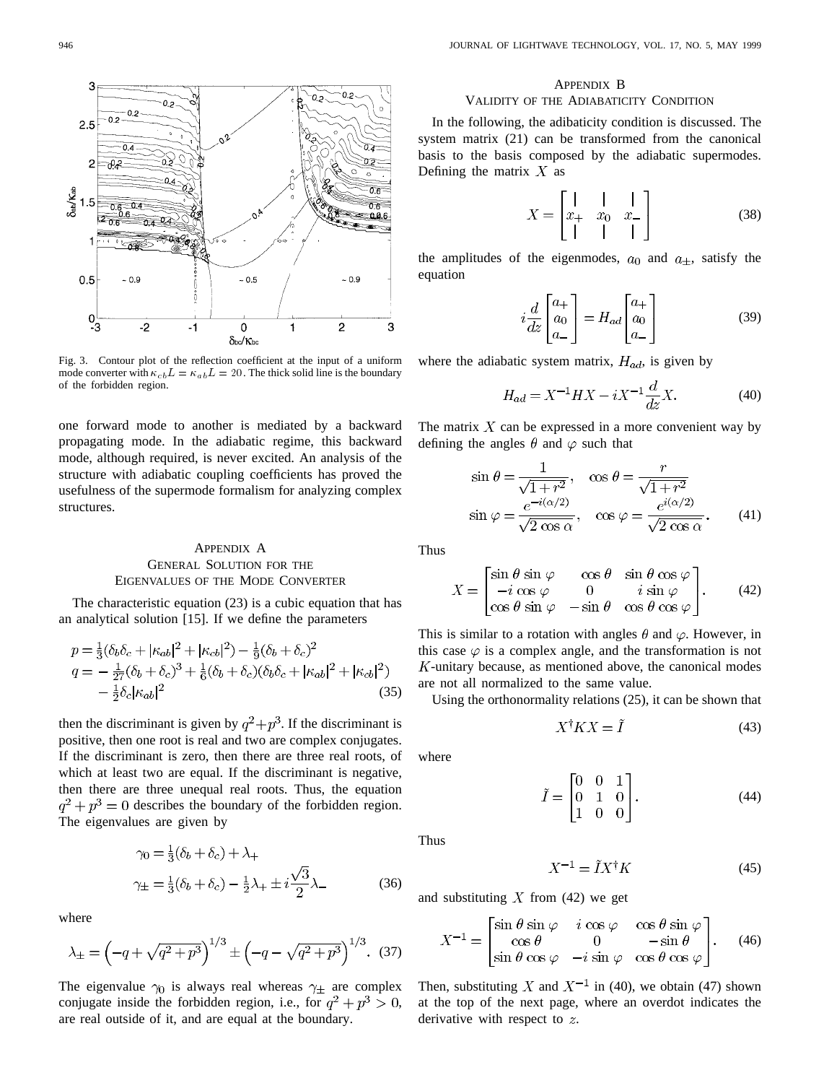

Fig. 3. Contour plot of the reflection coefficient at the input of a uniform mode converter with  $\kappa_{cb}L = \kappa_{ab}L = 20$ . The thick solid line is the boundary of the forbidden region.

one forward mode to another is mediated by a backward propagating mode. In the adiabatic regime, this backward mode, although required, is never excited. An analysis of the structure with adiabatic coupling coefficients has proved the usefulness of the supermode formalism for analyzing complex structures.

# APPENDIX A GENERAL SOLUTION FOR THE EIGENVALUES OF THE MODE CONVERTER

The characteristic equation (23) is a cubic equation that has an analytical solution [15]. If we define the parameters

$$
p = \frac{1}{3}(\delta_b \delta_c + |\kappa_{ab}|^2 + |\kappa_{cb}|^2) - \frac{1}{9}(\delta_b + \delta_c)^2
$$
  
\n
$$
q = -\frac{1}{27}(\delta_b + \delta_c)^3 + \frac{1}{6}(\delta_b + \delta_c)(\delta_b \delta_c + |\kappa_{ab}|^2 + |\kappa_{cb}|^2)
$$
  
\n
$$
-\frac{1}{2}\delta_c |\kappa_{ab}|^2
$$
\n(35)

then the discriminant is given by  $q^2 + p^3$ . If the discriminant is positive, then one root is real and two are complex conjugates. If the discriminant is zero, then there are three real roots, of which at least two are equal. If the discriminant is negative, then there are three unequal real roots. Thus, the equation  $q^2 + p^3 = 0$  describes the boundary of the forbidden region. The eigenvalues are given by

$$
\gamma_0 = \frac{1}{3}(\delta_b + \delta_c) + \lambda_+
$$
  

$$
\gamma_{\pm} = \frac{1}{3}(\delta_b + \delta_c) - \frac{1}{2}\lambda_+ \pm i\frac{\sqrt{3}}{2}\lambda_-
$$
 (36)

where

$$
\lambda_{\pm} = \left(-q + \sqrt{q^2 + p^3}\right)^{1/3} \pm \left(-q - \sqrt{q^2 + p^3}\right)^{1/3}.
$$
 (37)

The eigenvalue  $\gamma_0$  is always real whereas  $\gamma_{\pm}$  are complex conjugate inside the forbidden region, i.e., for  $q^2 + p^3 > 0$ , are real outside of it, and are equal at the boundary.

## APPENDIX B

## VALIDITY OF THE ADIABATICITY CONDITION

In the following, the adibaticity condition is discussed. The system matrix (21) can be transformed from the canonical basis to the basis composed by the adiabatic supermodes. Defining the matrix  $X$  as

$$
X = \begin{bmatrix} | & | & | \\ x_+ & x_0 & x_- \\ | & | & | & | \end{bmatrix}
$$
 (38)

the amplitudes of the eigenmodes,  $a_0$  and  $a_{\pm}$ , satisfy the equation

$$
i\frac{d}{dz}\begin{bmatrix} a_+ \\ a_0 \\ a_- \end{bmatrix} = H_{ad} \begin{bmatrix} a_+ \\ a_0 \\ a_- \end{bmatrix}
$$
 (39)

where the adiabatic system matrix,  $H_{ad}$ , is given by

$$
H_{ad} = X^{-1}HX - iX^{-1}\frac{d}{dz}X.
$$
 (40)

The matrix  $X$  can be expressed in a more convenient way by defining the angles  $\theta$  and  $\varphi$  such that

$$
\sin \theta = \frac{1}{\sqrt{1+r^2}}, \quad \cos \theta = \frac{r}{\sqrt{1+r^2}}
$$

$$
\sin \varphi = \frac{e^{-i(\alpha/2)}}{\sqrt{2\cos\alpha}}, \quad \cos \varphi = \frac{e^{i(\alpha/2)}}{\sqrt{2\cos\alpha}}.
$$
(41)

Thus

$$
X = \begin{bmatrix} \sin \theta & \sin \varphi & \cos \theta & \sin \theta & \cos \varphi \\ -i & \cos \varphi & 0 & i & \sin \varphi \\ \cos \theta & \sin \varphi & -\sin \theta & \cos \theta & \cos \varphi \end{bmatrix} . \tag{42}
$$

This is similar to a rotation with angles  $\theta$  and  $\varphi$ . However, in this case  $\varphi$  is a complex angle, and the transformation is not  $K$ -unitary because, as mentioned above, the canonical modes are not all normalized to the same value.

Using the orthonormality relations (25), it can be shown that

$$
X^{\dagger} K X = \tilde{I} \tag{43}
$$

where

$$
\tilde{I} = \begin{bmatrix} 0 & 0 & 1 \\ 0 & 1 & 0 \\ 1 & 0 & 0 \end{bmatrix} . \tag{44}
$$

Thus

$$
X^{-1} = \tilde{I}X^{\dagger}K\tag{45}
$$

and substituting  $X$  from (42) we get

$$
X^{-1} = \begin{bmatrix} \sin \theta & \sin \varphi & i \cos \varphi & \cos \theta & \sin \varphi \\ \cos \theta & 0 & -\sin \theta \\ \sin \theta & \cos \varphi & -i & \sin \varphi & \cos \theta & \cos \varphi \end{bmatrix} . \quad (46)
$$

Then, substituting X and  $X^{-1}$  in (40), we obtain (47) shown at the top of the next page, where an overdot indicates the derivative with respect to  $z$ .